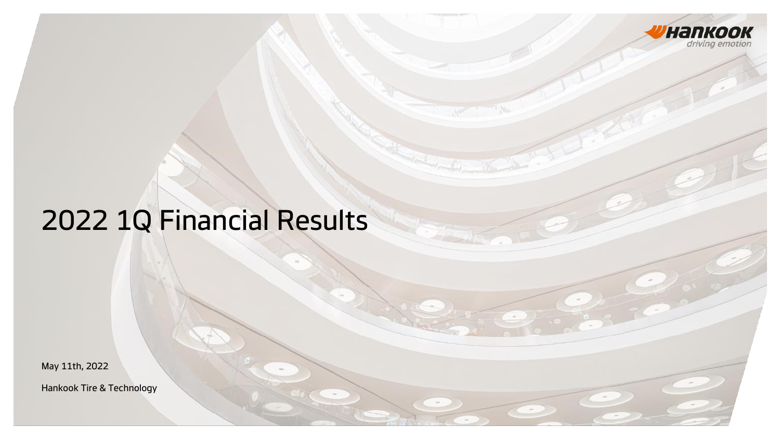

 $\sim$ 

# 2022 1Q Financial Results

May 11th, 2022

Hankook Tire & Technology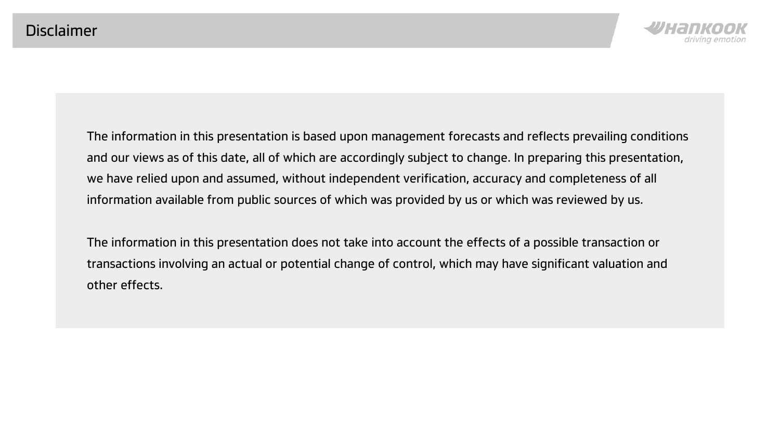

The information in this presentation is based upon management forecasts and reflects prevailing conditions and our views as of this date, all of which are accordingly subject to change. In preparing this presentation, we have relied upon and assumed, without independent verification, accuracy and completeness of all information available from public sources of which was provided by us or which was reviewed by us.

The information in this presentation does not take into account the effects of a possible transaction or transactions involving an actual or potential change of control, which may have significant valuation and other effects.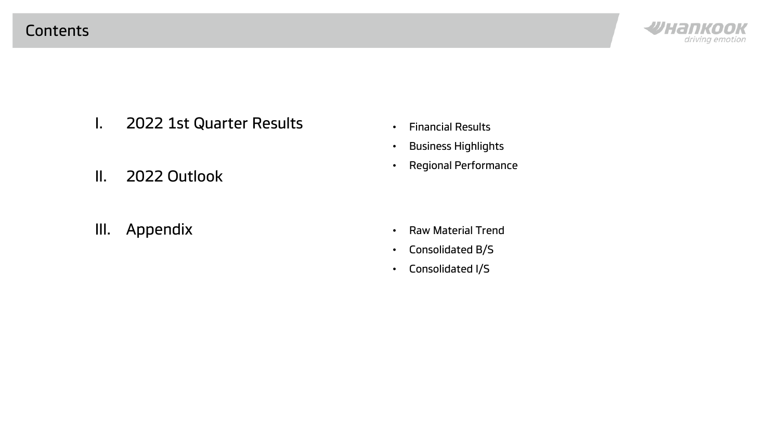

I. 2022 1st Quarter Results

- Financial Results
- Business Highlights
- Regional Performance
- II. 2022 Outlook
- III. Appendix
- Raw Material Trend
- Consolidated B/S
- Consolidated I/S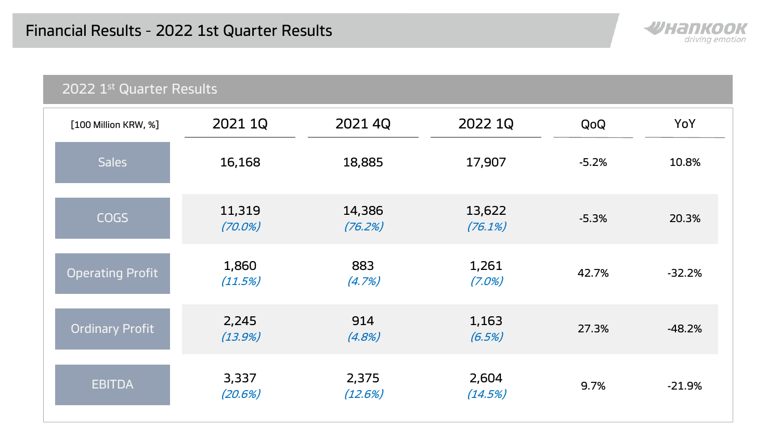

| 2022 1st Quarter Results |                      |                   |                    |         |          |  |  |  |
|--------------------------|----------------------|-------------------|--------------------|---------|----------|--|--|--|
| [100 Million KRW, %]     | 2021 1Q              | 2021 4Q           | 2022 1Q            | QoQ     | YoY      |  |  |  |
| <b>Sales</b>             | 16,168               | 18,885            | 17,907             | $-5.2%$ | 10.8%    |  |  |  |
| <b>COGS</b>              | 11,319<br>$(70.0\%)$ | 14,386<br>(76.2%) | 13,622<br>(76.1%)  | $-5.3%$ | 20.3%    |  |  |  |
| <b>Operating Profit</b>  | 1,860<br>(11.5%)     | 883<br>(4.7%)     | 1,261<br>$(7.0\%)$ | 42.7%   | $-32.2%$ |  |  |  |
| Ordinary Profit          | 2,245<br>(13.9%)     | 914<br>(4.8%)     | 1,163<br>(6.5%)    | 27.3%   | $-48.2%$ |  |  |  |
| <b>EBITDA</b>            | 3,337<br>(20.6%)     | 2,375<br>(12.6%)  | 2,604<br>(14.5%)   | 9.7%    | $-21.9%$ |  |  |  |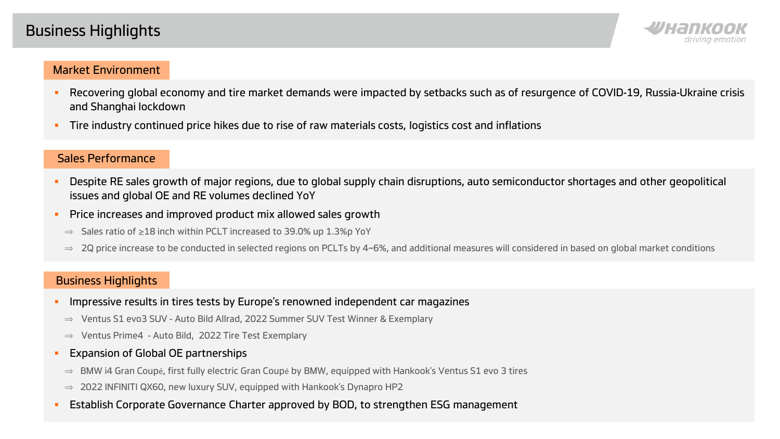## Business Highlights



#### Market Environment

- Recovering global economy and tire market demands were impacted by setbacks such as of resurgence of COVID-19, Russia-Ukraine crisis and Shanghai lockdown
- Tire industry continued price hikes due to rise of raw materials costs, logistics cost and inflations

#### Sales Performance

- Despite RE sales growth of major regions, due to global supply chain disruptions, auto semiconductor shortages and other geopolitical issues and global OE and RE volumes declined YoY
- **Price increases and improved product mix allowed sales growth** 
	- ⇒ Sales ratio of ≥18 inch within PCLT increased to 39.0% up 1.3%p YoY
	- $\Rightarrow$  2Q price increase to be conducted in selected regions on PCLTs by 4~6%, and additional measures will considered in based on global market conditions

#### Business Highlights

- **IMPRESS** Interestive results in tires tests by Europe's renowned independent car magazines
	- ⇒ Ventus S1 evo3 SUV Auto Bild Allrad, 2022 Summer SUV Test Winner & Exemplary
	- ⇒ Ventus Prime4 Auto Bild, 2022 Tire Test Exemplary
- **Expansion of Global OE partnerships** 
	- ⇒ BMW i4 Gran Coupé, first fully electric Gran Coupé by BMW, equipped with Hankook's Ventus S1 evo 3 tires
	- $\Rightarrow$  2022 INFINITI QX60, new luxury SUV, equipped with Hankook's Dynapro HP2
- **Establish Corporate Governance Charter approved by BOD, to strengthen ESG management**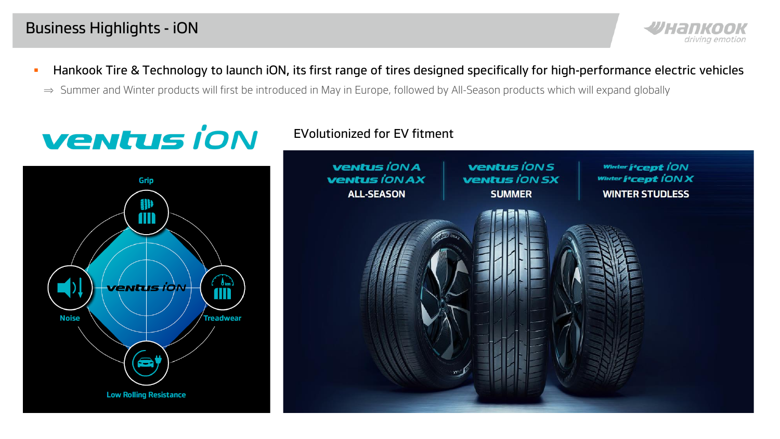

- **Hankook Tire & Technology to launch iON, its first range of tires designed specifically for high-performance electric vehicles**
- ⇒ Summer and Winter products will first be introduced in May in Europe, followed by All-Season products which will expand globally



### EVolutionized for EV fitment

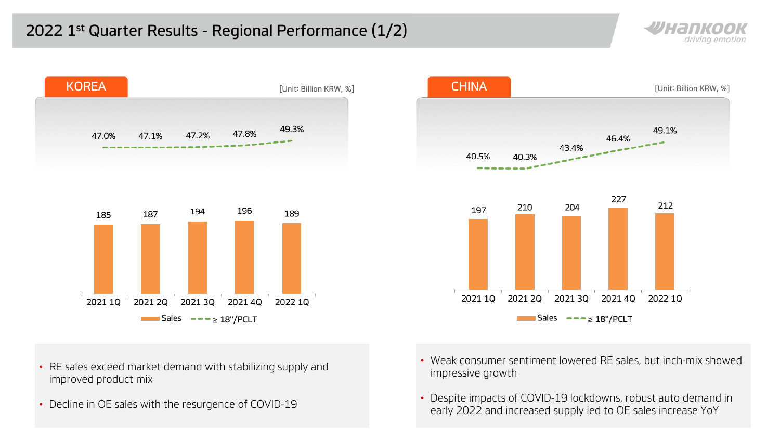





- RE sales exceed market demand with stabilizing supply and improved product mix
- Decline in OE sales with the resurgence of COVID-19
- Weak consumer sentiment lowered RE sales, but inch-mix showed impressive growth
- Despite impacts of COVID-19 lockdowns, robust auto demand in early 2022 and increased supply led to OE sales increase YoY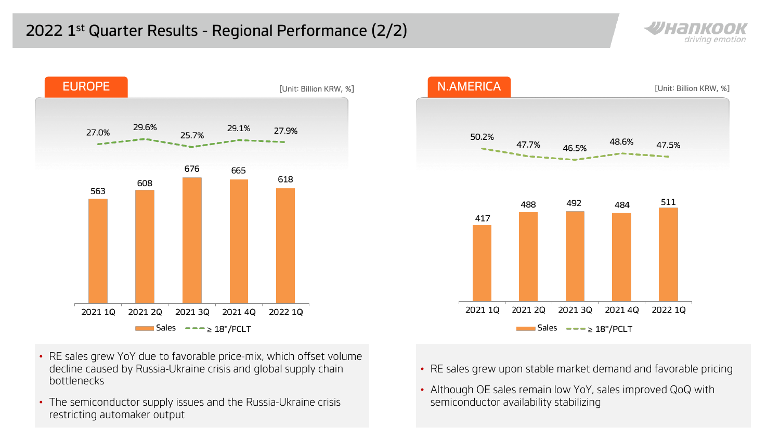



- RE sales grew YoY due to favorable price-mix, which offset volume decline caused by Russia-Ukraine crisis and global supply chain bottlenecks
- The semiconductor supply issues and the Russia-Ukraine crisis restricting automaker output



- RE sales grew upon stable market demand and favorable pricing
- Although OE sales remain low YoY, sales improved QoQ with semiconductor availability stabilizing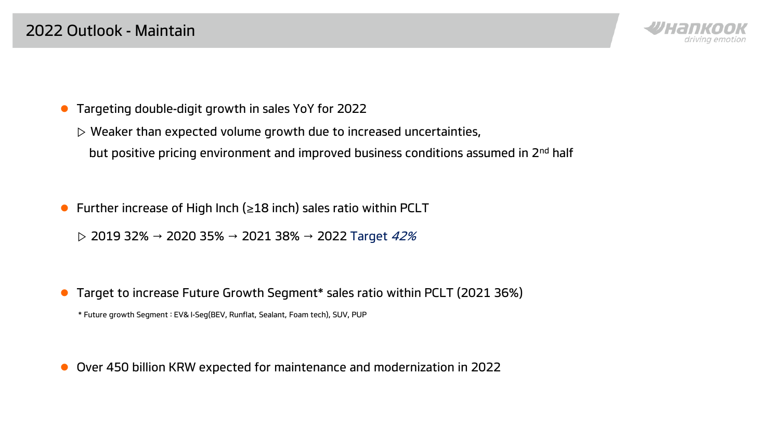

- Targeting double-digit growth in sales YoY for 2022
	- $\triangleright$  Weaker than expected volume growth due to increased uncertainties,
		- but positive pricing environment and improved business conditions assumed in 2nd half
- Further increase of High Inch ( $\geq$ 18 inch) sales ratio within PCLT
	- $\rhd$  2019 32% → 2020 35% → 2021 38% → 2022 Target 42%
- Target to increase Future Growth Segment\* sales ratio within PCLT (2021 36%)
	- \* Future growth Segment : EV& I-Seg(BEV, Runflat, Sealant, Foam tech), SUV, PUP

Over 450 billion KRW expected for maintenance and modernization in 2022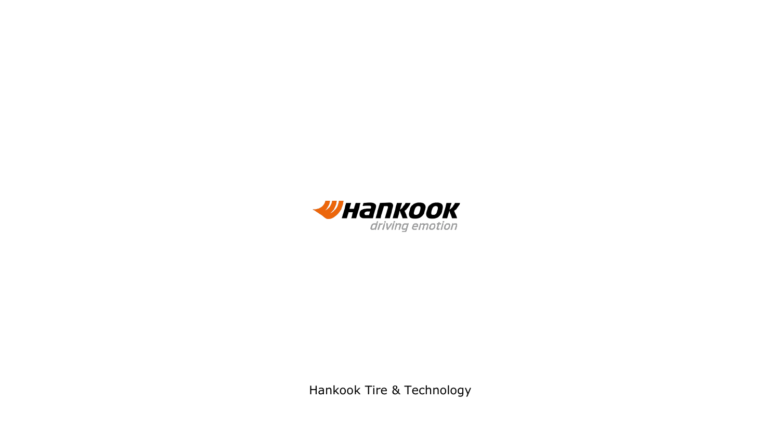

Hankook Tire & Technology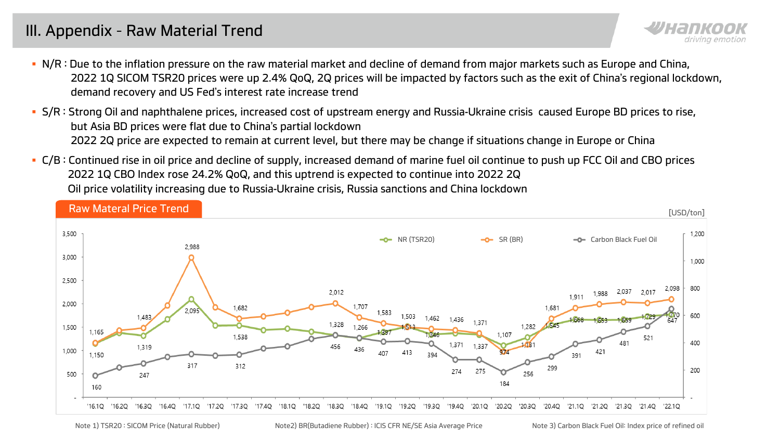## III. Appendix – Raw Material Trend

- **N/R: Due to the inflation pressure on the raw material market and decline of demand from major markets such as Europe and China.** 2022 1Q SICOM TSR20 prices were up 2.4% QoQ, 2Q prices will be impacted by factors such as the exit of China's regional lockdown, demand recovery and US Fed's interest rate increase trend
- S/R : Strong Oil and naphthalene prices, increased cost of upstream energy and Russia-Ukraine crisis caused Europe BD prices to rise, but Asia BD prices were flat due to China's partial lockdown 2022 2Q price are expected to remain at current level, but there may be change if situations change in Europe or China
- C/B : Continued rise in oil price and decline of supply, increased demand of marine fuel oil continue to push up FCC Oil and CBO prices 2022 1Q CBO Index rose 24.2% QoQ, and this uptrend is expected to continue into 2022 2Q Oil price volatility increasing due to Russia-Ukraine crisis, Russia sanctions and China lockdown



Note 1) TSR20 : SICOM Price (Natural Rubber) Note2) BR(Butadiene Rubber) : ICIS CFR NE/SE Asia Average Price Note 3) Carbon Black Fuel Oil: Index price of refined oil

drivina emotior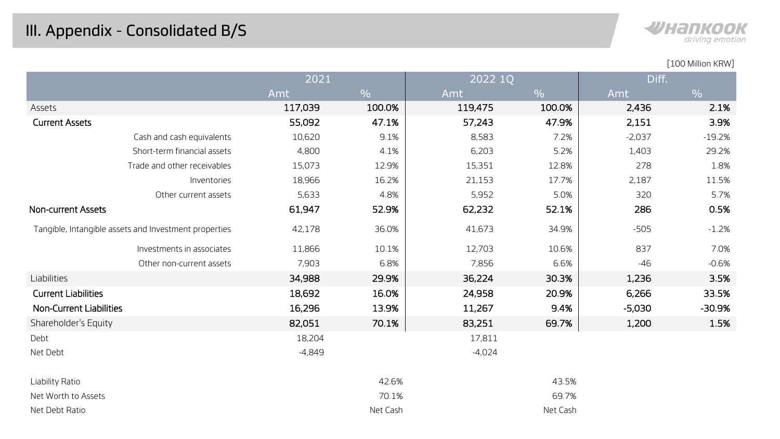

|                                                       | 2021     |               | 2022 1Q  |               | Diff.    |               |
|-------------------------------------------------------|----------|---------------|----------|---------------|----------|---------------|
|                                                       | Amt      | $\frac{0}{0}$ | Amt      | $\frac{0}{0}$ | Amt      | $\frac{0}{0}$ |
| Assets                                                | 117,039  | 100.0%        | 119,475  | 100.0%        | 2,436    | 2.1%          |
| <b>Current Assets</b>                                 | 55,092   | 47.1%         | 57,243   | 47.9%         | 2,151    | 3.9%          |
| Cash and cash equivalents                             | 10,620   | 9.1%          | 8,583    | 7.2%          | $-2,037$ | $-19.2%$      |
| Short-term financial assets                           | 4,800    | 4.1%          | 6,203    | 5.2%          | 1,403    | 29.2%         |
| Trade and other receivables                           | 15,073   | 12.9%         | 15,351   | 12.8%         | 278      | 1.8%          |
| Inventories                                           | 18,966   | 16.2%         | 21,153   | 17.7%         | 2,187    | 11.5%         |
| Other current assets                                  | 5,633    | 4.8%          | 5,952    | 5.0%          | 320      | 5.7%          |
| <b>Non-current Assets</b>                             | 61,947   | 52.9%         | 62,232   | 52.1%         | 286      | 0.5%          |
| Tangible, Intangible assets and Investment properties | 42,178   | 36.0%         | 41,673   | 34.9%         | $-505$   | $-1.2%$       |
| Investments in associates                             | 11,866   | 10.1%         | 12,703   | 10.6%         | 837      | 7.0%          |
| Other non-current assets                              | 7,903    | 6.8%          | 7,856    | 6.6%          | $-46$    | $-0.6%$       |
| Liabilities                                           | 34,988   | 29.9%         | 36,224   | 30.3%         | 1,236    | 3.5%          |
| <b>Current Liabilities</b>                            | 18,692   | 16.0%         | 24,958   | 20.9%         | 6,266    | 33.5%         |
| Non-Current Liabilities                               | 16,296   | 13.9%         | 11,267   | 9.4%          | $-5,030$ | $-30.9%$      |
| Shareholder's Equity                                  | 82,051   | 70.1%         | 83,251   | 69.7%         | 1,200    | 1.5%          |
| Debt                                                  | 18,204   |               | 17,811   |               |          |               |
| Net Debt                                              | $-4,849$ |               | $-4,024$ |               |          |               |
| Liability Ratio                                       |          | 42.6%         |          | 43.5%         |          |               |
| Net Worth to Assets                                   |          | 70.1%         |          | 69.7%         |          |               |
| Net Debt Ratio                                        |          | Net Cash      |          | Net Cash      |          |               |